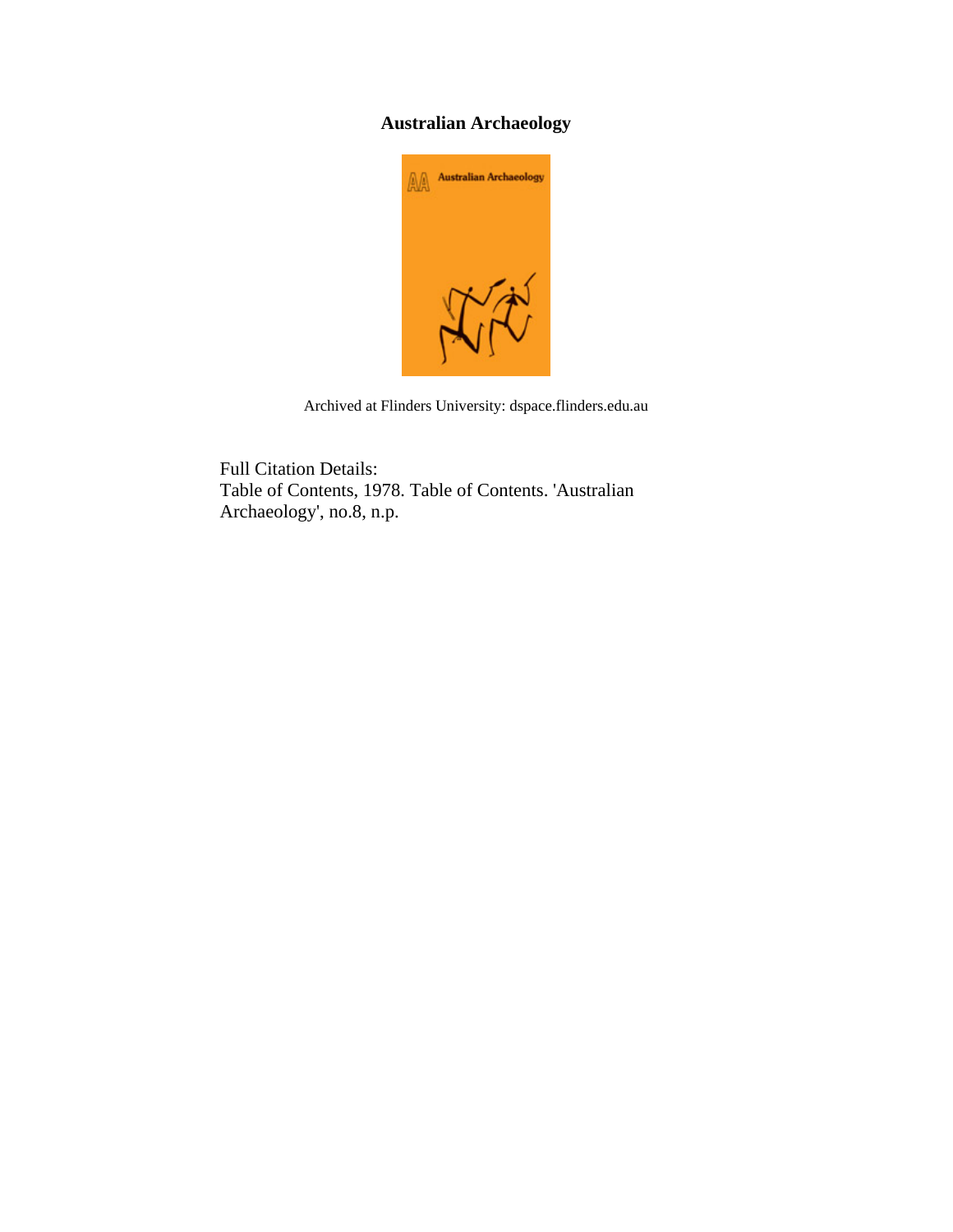## **Australian Archaeology**



Archived at Flinders University: dspace.flinders.edu.au

Full Citation Details: Table of Contents, 1978. Table of Contents. 'Australian Archaeology', no.8, n.p.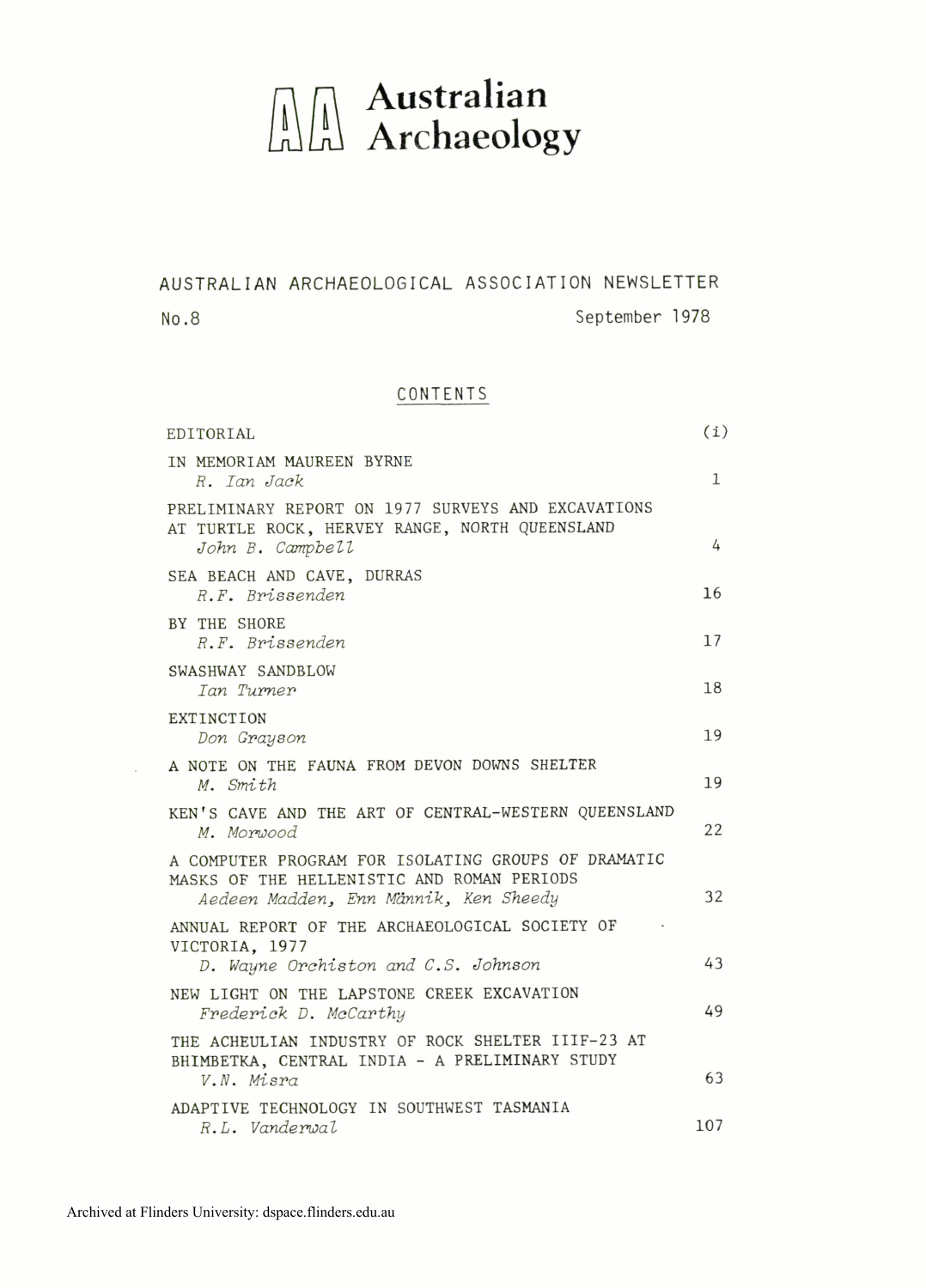## $\begin{array}{ll} \begin{array}{ll} \begin{array}{ll} \begin{array}{ll} \end{array} \\ \begin{array}{ll} \end{array} \\ \begin{array}{ll} \end{array} \\ \begin{array}{ll} \end{array} \\ \begin{array}{ll} \end{array} \\ \begin{array}{ll} \end{array} \\ \begin{array}{ll} \end{array} \\ \begin{array}{ll} \end{array} \end{array}$

AUSTRALIAN ARCHAEOLOGICAL ASSOCIATION NEWSLETTER

**No.8 September** 1978

## CONTENTS

| EDITORIAL                                                                                                                                  | (i)          |
|--------------------------------------------------------------------------------------------------------------------------------------------|--------------|
| IN MEMORIAM MAUREEN BYRNE<br>R. Ian Jack                                                                                                   | $\mathbf{1}$ |
| PRELIMINARY REPORT ON 1977 SURVEYS AND EXCAVATIONS<br>AT TURTLE ROCK, HERVEY RANGE, NORTH QUEENSLAND<br>John B. Campbell                   | 4            |
| SEA BEACH AND CAVE, DURRAS<br>R.F. Brissenden                                                                                              | 16           |
| BY THE SHORE<br>R.F. Brissenden                                                                                                            | 17           |
| SWASHWAY SANDBLOW<br>Ian Turner                                                                                                            | 18           |
| <b>EXTINCTION</b><br>Don Grayson                                                                                                           | 19           |
| A NOTE ON THE FAUNA FROM DEVON DOWNS SHELTER<br>M. Smith                                                                                   | 19           |
| KEN'S CAVE AND THE ART OF CENTRAL-WESTERN QUEENSLAND<br>M. Morwood                                                                         | 22           |
| A COMPUTER PROGRAM FOR ISOLATING GROUPS OF DRAMATIC<br>MASKS OF THE HELLENISTIC AND ROMAN PERIODS<br>Aedeen Madden, Enn Männik, Ken Sheedy | 32           |
| ANNUAL REPORT OF THE ARCHAEOLOGICAL SOCIETY OF<br>VICTORIA. 1977<br>D. Wayne Orchiston and C.S. Johnson                                    | 43           |
| NEW LIGHT ON THE LAPSTONE CREEK EXCAVATION<br>Frederick D. McCarthy                                                                        | 49           |
| THE ACHEULIAN INDUSTRY OF ROCK SHELTER IIIF-23 AT<br>BHIMBETKA, CENTRAL INDIA - A PRELIMINARY STUDY<br>V.N. Misra                          | 63           |
| ADAPTIVE TECHNOLOGY IN SOUTHWEST TASMANIA<br>R.L. Vanderwal                                                                                | 107          |